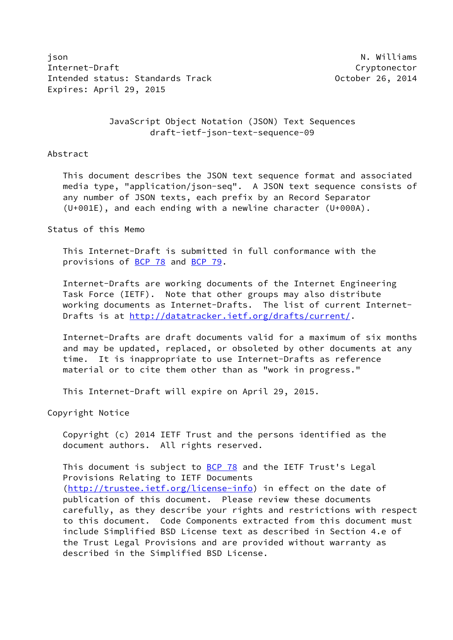json N. Williams Internet-Draft Cryptonector Intended status: Standards Track and Communication of Catalogue of Catalogue 26, 2014 Expires: April 29, 2015

 JavaScript Object Notation (JSON) Text Sequences draft-ietf-json-text-sequence-09

#### Abstract

 This document describes the JSON text sequence format and associated media type, "application/json-seq". A JSON text sequence consists of any number of JSON texts, each prefix by an Record Separator (U+001E), and each ending with a newline character (U+000A).

### Status of this Memo

 This Internet-Draft is submitted in full conformance with the provisions of [BCP 78](https://datatracker.ietf.org/doc/pdf/bcp78) and [BCP 79](https://datatracker.ietf.org/doc/pdf/bcp79).

 Internet-Drafts are working documents of the Internet Engineering Task Force (IETF). Note that other groups may also distribute working documents as Internet-Drafts. The list of current Internet Drafts is at<http://datatracker.ietf.org/drafts/current/>.

 Internet-Drafts are draft documents valid for a maximum of six months and may be updated, replaced, or obsoleted by other documents at any time. It is inappropriate to use Internet-Drafts as reference material or to cite them other than as "work in progress."

This Internet-Draft will expire on April 29, 2015.

Copyright Notice

 Copyright (c) 2014 IETF Trust and the persons identified as the document authors. All rights reserved.

This document is subject to **[BCP 78](https://datatracker.ietf.org/doc/pdf/bcp78)** and the IETF Trust's Legal Provisions Relating to IETF Documents [\(http://trustee.ietf.org/license-info](http://trustee.ietf.org/license-info)) in effect on the date of publication of this document. Please review these documents carefully, as they describe your rights and restrictions with respect to this document. Code Components extracted from this document must include Simplified BSD License text as described in Section 4.e of the Trust Legal Provisions and are provided without warranty as described in the Simplified BSD License.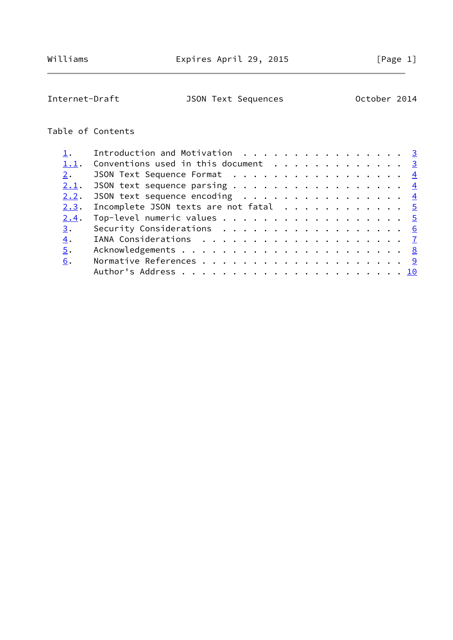# Internet-Draft JSON Text Sequences October 2014

## Table of Contents

|      | Introduction and Motivation 3                                     |  |
|------|-------------------------------------------------------------------|--|
|      | 1.1. Conventions used in this document 3                          |  |
| 2.   | JSON Text Sequence Format $\frac{4}{5}$                           |  |
| 2.1. | JSON text sequence parsing $\frac{4}{5}$                          |  |
| 2.2. | JSON text sequence encoding $\frac{4}{5}$                         |  |
| 2.3. | Incomplete JSON texts are not fatal $\ldots \ldots \ldots \ldots$ |  |
| 2.4. | Top-level numeric values $\cdots$ 5                               |  |
| 3.   | Security Considerations 6                                         |  |
| 4.   |                                                                   |  |
| 5.   |                                                                   |  |
| 6.   |                                                                   |  |
|      |                                                                   |  |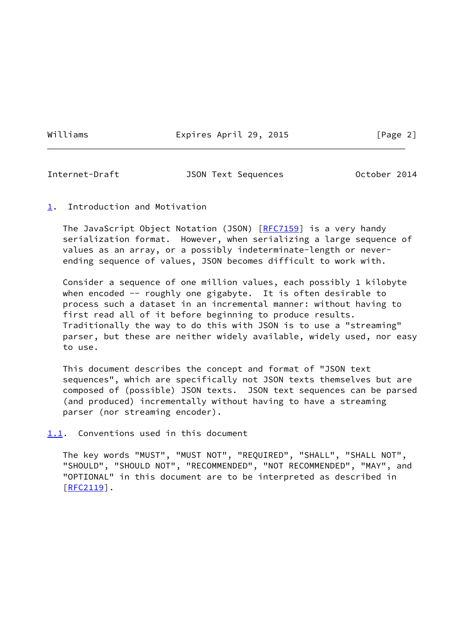Williams **Expires April 29, 2015** [Page 2]

<span id="page-2-1"></span>

Internet-Draft JSON Text Sequences October 2014

### <span id="page-2-0"></span>[1](#page-2-0). Introduction and Motivation

The JavaScript Object Notation (JSON) [[RFC7159](https://datatracker.ietf.org/doc/pdf/rfc7159)] is a very handy serialization format. However, when serializing a large sequence of values as an array, or a possibly indeterminate-length or never ending sequence of values, JSON becomes difficult to work with.

 Consider a sequence of one million values, each possibly 1 kilobyte when encoded -- roughly one gigabyte. It is often desirable to process such a dataset in an incremental manner: without having to first read all of it before beginning to produce results. Traditionally the way to do this with JSON is to use a "streaming" parser, but these are neither widely available, widely used, nor easy to use.

 This document describes the concept and format of "JSON text sequences", which are specifically not JSON texts themselves but are composed of (possible) JSON texts. JSON text sequences can be parsed (and produced) incrementally without having to have a streaming parser (nor streaming encoder).

<span id="page-2-2"></span>[1.1](#page-2-2). Conventions used in this document

 The key words "MUST", "MUST NOT", "REQUIRED", "SHALL", "SHALL NOT", "SHOULD", "SHOULD NOT", "RECOMMENDED", "NOT RECOMMENDED", "MAY", and "OPTIONAL" in this document are to be interpreted as described in  $[REC2119]$ .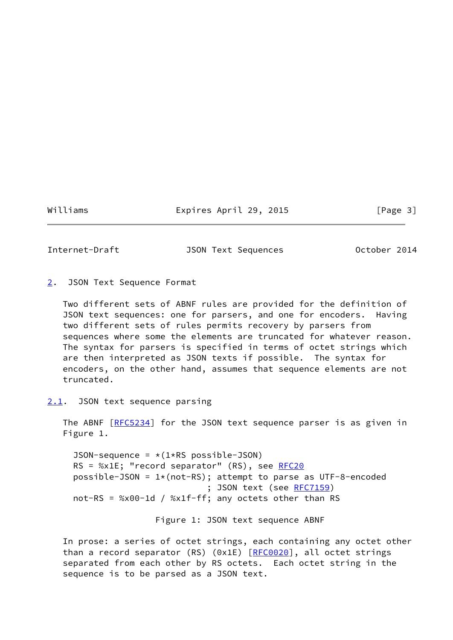Williams **Expires April 29, 2015** [Page 3]

<span id="page-3-1"></span>

Internet-Draft JSON Text Sequences October 2014

<span id="page-3-0"></span>[2](#page-3-0). JSON Text Sequence Format

 Two different sets of ABNF rules are provided for the definition of JSON text sequences: one for parsers, and one for encoders. Having two different sets of rules permits recovery by parsers from sequences where some the elements are truncated for whatever reason. The syntax for parsers is specified in terms of octet strings which are then interpreted as JSON texts if possible. The syntax for encoders, on the other hand, assumes that sequence elements are not truncated.

<span id="page-3-2"></span>[2.1](#page-3-2). JSON text sequence parsing

The ABNF [\[RFC5234](https://datatracker.ietf.org/doc/pdf/rfc5234)] for the JSON text sequence parser is as given in Figure 1.

JSON-sequence =  $*(1*RS \text{ possible}-JSON)$ RS = %x1E; "record separator" (RS), see [RFC20](https://datatracker.ietf.org/doc/pdf/rfc20) possible-JSON =  $1*(not-RS)$ ; attempt to parse as UTF-8-encoded ; JSON text (see [RFC7159](https://datatracker.ietf.org/doc/pdf/rfc7159)) not-RS = %x00-1d / %x1f-ff; any octets other than RS

Figure 1: JSON text sequence ABNF

 In prose: a series of octet strings, each containing any octet other than a record separator (RS) (0x1E) [\[RFC0020](https://datatracker.ietf.org/doc/pdf/rfc0020)], all octet strings separated from each other by RS octets. Each octet string in the sequence is to be parsed as a JSON text.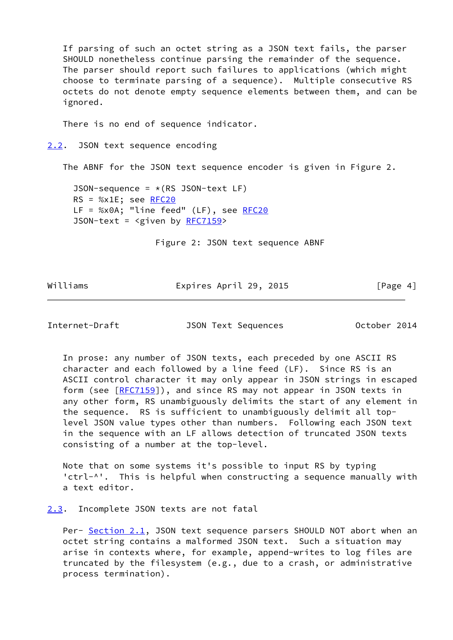If parsing of such an octet string as a JSON text fails, the parser SHOULD nonetheless continue parsing the remainder of the sequence. The parser should report such failures to applications (which might choose to terminate parsing of a sequence). Multiple consecutive RS octets do not denote empty sequence elements between them, and can be ignored.

There is no end of sequence indicator.

<span id="page-4-0"></span>[2.2](#page-4-0). JSON text sequence encoding

The ABNF for the JSON text sequence encoder is given in Figure 2.

JSON-sequence =  $*(RS$  JSON-text LF)  $RS = %x1E; see RFC20$ LF = %x0A; "line feed" (LF), see [RFC20](https://datatracker.ietf.org/doc/pdf/rfc20) JSON-text =  $\langle$ given by [RFC7159](https://datatracker.ietf.org/doc/pdf/rfc7159)>

Figure 2: JSON text sequence ABNF

Williams **Expires April 29, 2015** [Page 4]

<span id="page-4-2"></span>Internet-Draft JSON Text Sequences October 2014

 In prose: any number of JSON texts, each preceded by one ASCII RS character and each followed by a line feed (LF). Since RS is an ASCII control character it may only appear in JSON strings in escaped form (see [[RFC7159](https://datatracker.ietf.org/doc/pdf/rfc7159)]), and since RS may not appear in JSON texts in any other form, RS unambiguously delimits the start of any element in the sequence. RS is sufficient to unambiguously delimit all top level JSON value types other than numbers. Following each JSON text in the sequence with an LF allows detection of truncated JSON texts consisting of a number at the top-level.

 Note that on some systems it's possible to input RS by typing 'ctrl-^'. This is helpful when constructing a sequence manually with a text editor.

<span id="page-4-1"></span>[2.3](#page-4-1). Incomplete JSON texts are not fatal

Per- [Section 2.1](#page-3-2), JSON text sequence parsers SHOULD NOT abort when an octet string contains a malformed JSON text. Such a situation may arise in contexts where, for example, append-writes to log files are truncated by the filesystem (e.g., due to a crash, or administrative process termination).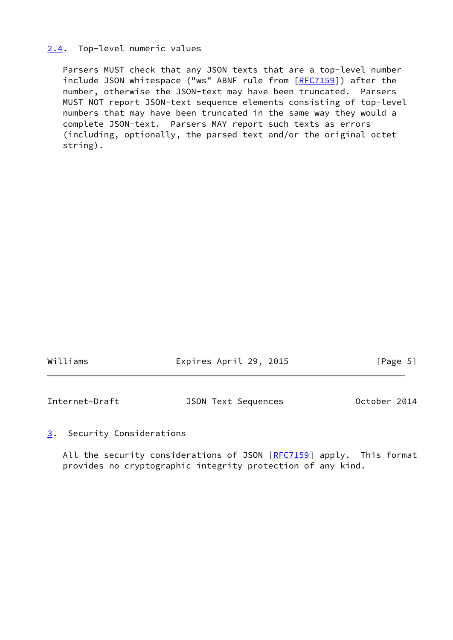### <span id="page-5-0"></span>[2.4](#page-5-0). Top-level numeric values

 Parsers MUST check that any JSON texts that are a top-level number include JSON whitespace ("ws" ABNF rule from [\[RFC7159](https://datatracker.ietf.org/doc/pdf/rfc7159)]) after the number, otherwise the JSON-text may have been truncated. Parsers MUST NOT report JSON-text sequence elements consisting of top-level numbers that may have been truncated in the same way they would a complete JSON-text. Parsers MAY report such texts as errors (including, optionally, the parsed text and/or the original octet string).

<span id="page-5-2"></span>

| Williams       | Expires April 29, 2015     | [Page 5]     |  |
|----------------|----------------------------|--------------|--|
|                |                            |              |  |
| Internet-Draft | <b>JSON Text Sequences</b> | October 2014 |  |

### <span id="page-5-1"></span>[3](#page-5-1). Security Considerations

All the security considerations of JSON [\[RFC7159](https://datatracker.ietf.org/doc/pdf/rfc7159)] apply. This format provides no cryptographic integrity protection of any kind.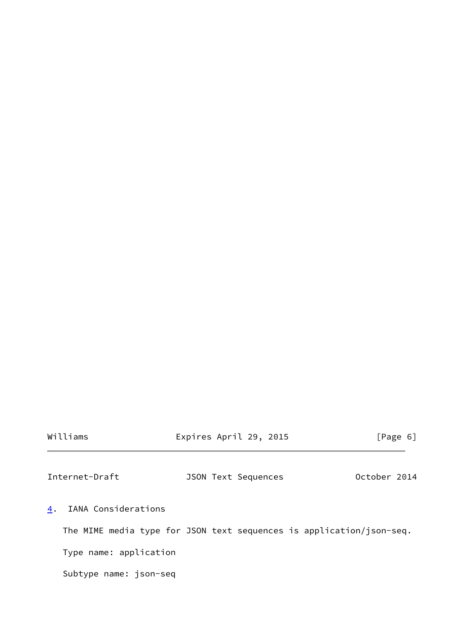|  |  | Williams |
|--|--|----------|
|  |  |          |

Expires April 29, 2015 [Page 6]

<span id="page-6-1"></span>Internet-Draft JSON Text Sequences October 2014

<span id="page-6-0"></span>[4](#page-6-0). IANA Considerations

The MIME media type for JSON text sequences is application/json-seq.

Type name: application

Subtype name: json-seq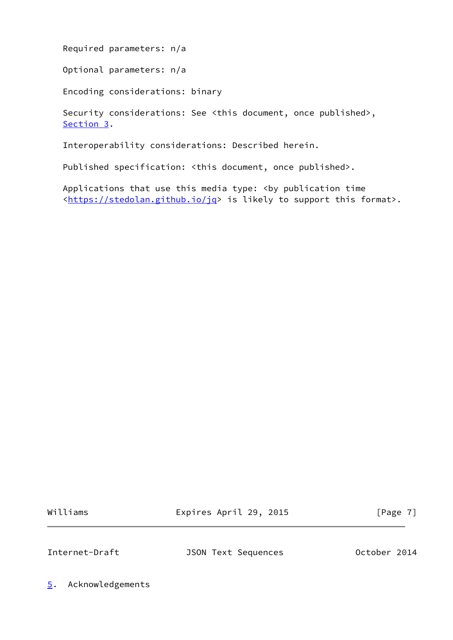Required parameters: n/a

Optional parameters: n/a

Encoding considerations: binary

 Security considerations: See <this document, once published>, [Section 3](#page-5-1).

Interoperability considerations: Described herein.

Published specification: <this document, once published>.

Applications that use this media type: <br />by publication time [<https://stedolan.github.io/jq](https://stedolan.github.io/jq)> is likely to support this format>.

Williams **Expires April 29, 2015** [Page 7]

<span id="page-7-1"></span>

Internet-Draft JSON Text Sequences October 2014

<span id="page-7-0"></span>[5](#page-7-0). Acknowledgements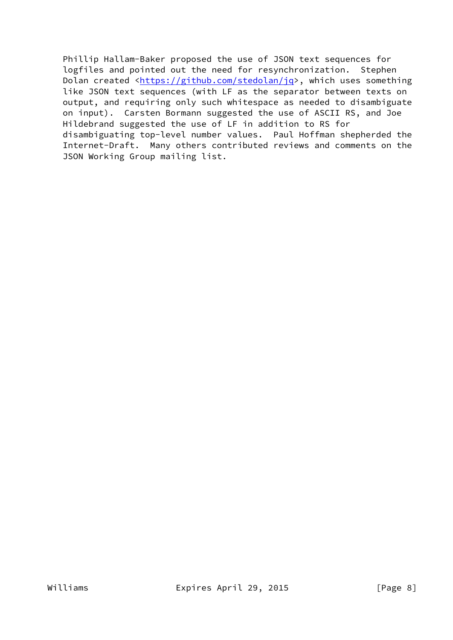Phillip Hallam-Baker proposed the use of JSON text sequences for logfiles and pointed out the need for resynchronization. Stephen Dolan created <<https://github.com/stedolan/jq>>, which uses something like JSON text sequences (with LF as the separator between texts on output, and requiring only such whitespace as needed to disambiguate on input). Carsten Bormann suggested the use of ASCII RS, and Joe Hildebrand suggested the use of LF in addition to RS for disambiguating top-level number values. Paul Hoffman shepherded the Internet-Draft. Many others contributed reviews and comments on the JSON Working Group mailing list.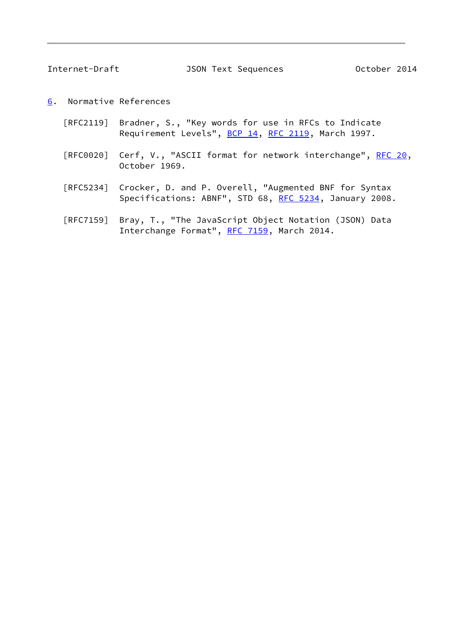<span id="page-9-1"></span>Internet-Draft JSON Text Sequences October 2014

- <span id="page-9-0"></span>[6](#page-9-0). Normative References
	- [RFC2119] Bradner, S., "Key words for use in RFCs to Indicate Requirement Levels", [BCP 14](https://datatracker.ietf.org/doc/pdf/bcp14), [RFC 2119](https://datatracker.ietf.org/doc/pdf/rfc2119), March 1997.
	- [RFC0020] Cerf, V., "ASCII format for network interchange", [RFC 20](https://datatracker.ietf.org/doc/pdf/rfc20), October 1969.
	- [RFC5234] Crocker, D. and P. Overell, "Augmented BNF for Syntax Specifications: ABNF", STD 68, [RFC 5234](https://datatracker.ietf.org/doc/pdf/rfc5234), January 2008.
	- [RFC7159] Bray, T., "The JavaScript Object Notation (JSON) Data Interchange Format", [RFC 7159](https://datatracker.ietf.org/doc/pdf/rfc7159), March 2014.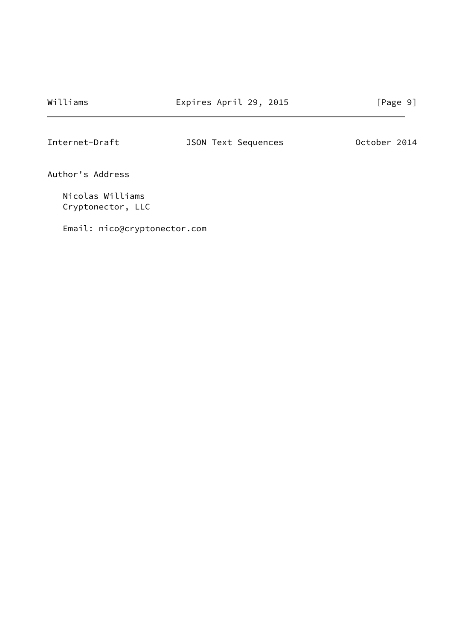Williams **Expires April 29, 2015** [Page 9]

<span id="page-10-0"></span>Internet-Draft JSON Text Sequences October 2014

Author's Address

 Nicolas Williams Cryptonector, LLC

Email: nico@cryptonector.com